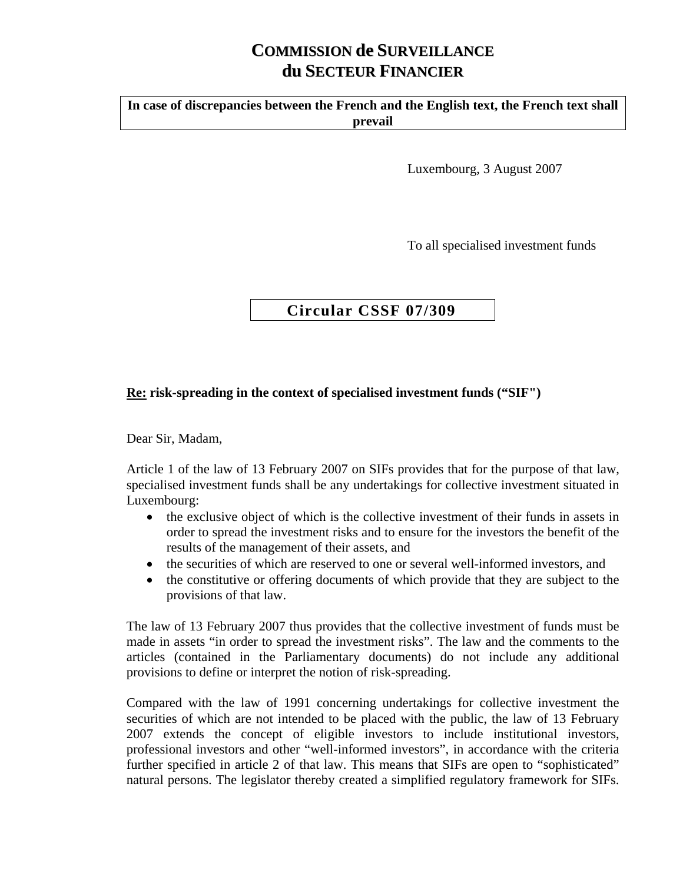## **COMMISSION de SURVEILLANCE du SECTEUR FINANCIER**

**In case of discrepancies between the French and the English text, the French text shall prevail** 

Luxembourg, 3 August 2007

To all specialised investment funds

## **Circular CSSF 07/309**

## **Re: risk-spreading in the context of specialised investment funds ("SIF")**

Dear Sir, Madam,

Article 1 of the law of 13 February 2007 on SIFs provides that for the purpose of that law, specialised investment funds shall be any undertakings for collective investment situated in Luxembourg:

- the exclusive object of which is the collective investment of their funds in assets in order to spread the investment risks and to ensure for the investors the benefit of the results of the management of their assets, and
- the securities of which are reserved to one or several well-informed investors, and
- the constitutive or offering documents of which provide that they are subject to the provisions of that law.

The law of 13 February 2007 thus provides that the collective investment of funds must be made in assets "in order to spread the investment risks". The law and the comments to the articles (contained in the Parliamentary documents) do not include any additional provisions to define or interpret the notion of risk-spreading.

Compared with the law of 1991 concerning undertakings for collective investment the securities of which are not intended to be placed with the public, the law of 13 February 2007 extends the concept of eligible investors to include institutional investors, professional investors and other "well-informed investors", in accordance with the criteria further specified in article 2 of that law. This means that SIFs are open to "sophisticated" natural persons. The legislator thereby created a simplified regulatory framework for SIFs.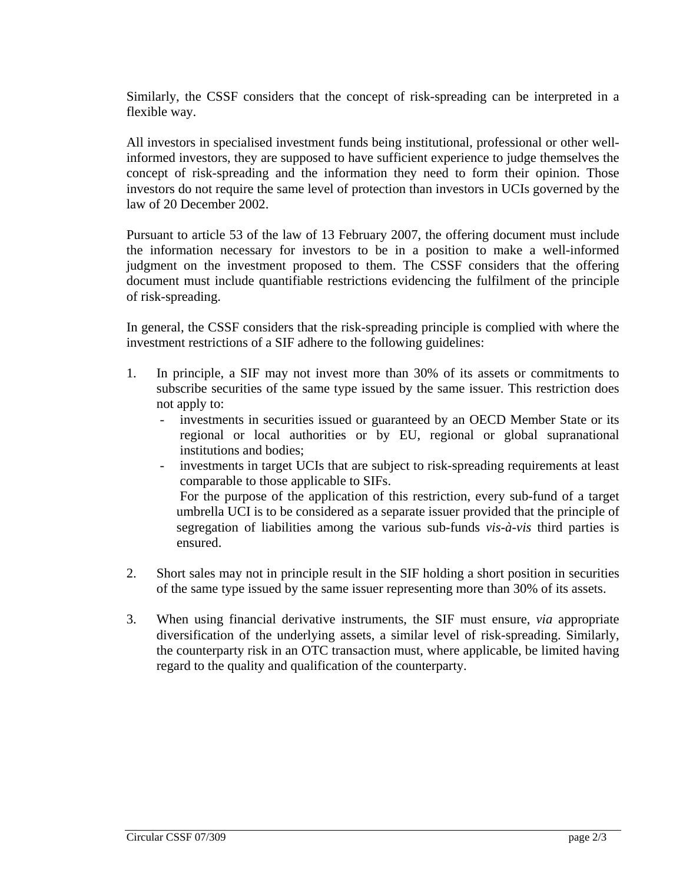Similarly, the CSSF considers that the concept of risk-spreading can be interpreted in a flexible way.

All investors in specialised investment funds being institutional, professional or other wellinformed investors, they are supposed to have sufficient experience to judge themselves the concept of risk-spreading and the information they need to form their opinion. Those investors do not require the same level of protection than investors in UCIs governed by the law of 20 December 2002.

Pursuant to article 53 of the law of 13 February 2007, the offering document must include the information necessary for investors to be in a position to make a well-informed judgment on the investment proposed to them. The CSSF considers that the offering document must include quantifiable restrictions evidencing the fulfilment of the principle of risk-spreading.

In general, the CSSF considers that the risk-spreading principle is complied with where the investment restrictions of a SIF adhere to the following guidelines:

- 1. In principle, a SIF may not invest more than 30% of its assets or commitments to subscribe securities of the same type issued by the same issuer. This restriction does not apply to:
	- investments in securities issued or guaranteed by an OECD Member State or its regional or local authorities or by EU, regional or global supranational institutions and bodies;
	- investments in target UCIs that are subject to risk-spreading requirements at least comparable to those applicable to SIFs. For the purpose of the application of this restriction, every sub-fund of a target umbrella UCI is to be considered as a separate issuer provided that the principle of segregation of liabilities among the various sub-funds *vis-à-vis* third parties is ensured.
- 2. Short sales may not in principle result in the SIF holding a short position in securities of the same type issued by the same issuer representing more than 30% of its assets.
- 3. When using financial derivative instruments, the SIF must ensure, *via* appropriate diversification of the underlying assets, a similar level of risk-spreading. Similarly, the counterparty risk in an OTC transaction must, where applicable, be limited having regard to the quality and qualification of the counterparty.